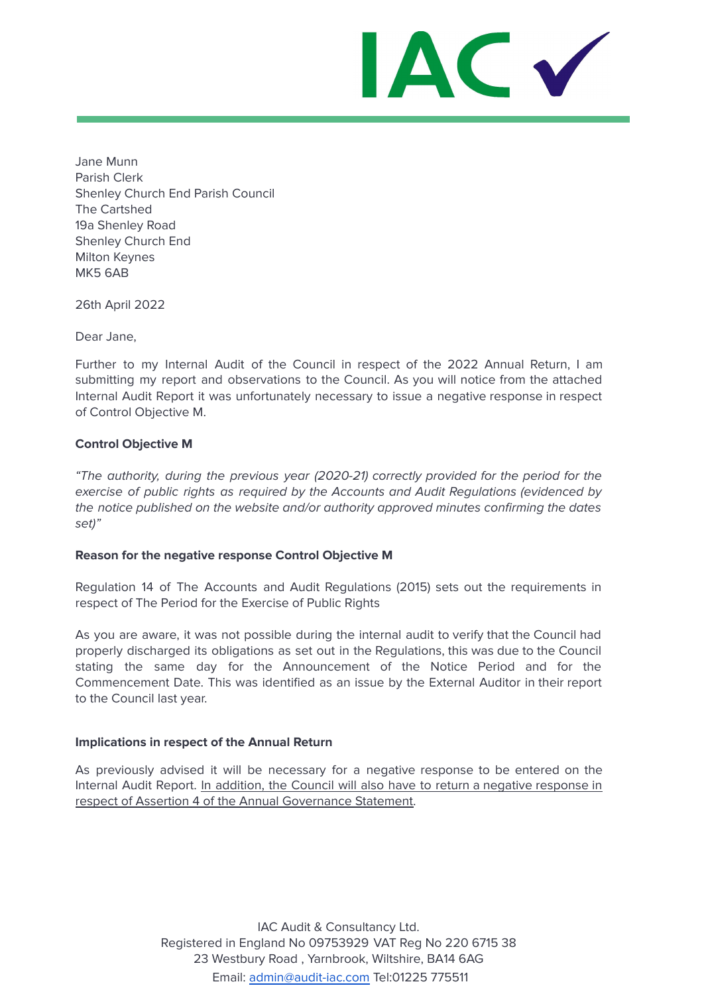IAC V

Jane Munn Parish Clerk Shenley Church End Parish Council The Cartshed 19a Shenley Road Shenley Church End Milton Keynes MK5 6AB

26th April 2022

Dear Jane,

Further to my Internal Audit of the Council in respect of the 2022 Annual Return, I am submitting my report and observations to the Council. As you will notice from the attached Internal Audit Report it was unfortunately necessary to issue a negative response in respect of Control Objective M.

### **Control Objective M**

"The authority, during the previous year (2020-21) correctly provided for the period for the exercise of public rights as required by the Accounts and Audit Regulations (evidenced by the notice published on the website and/or authority approved minutes confirming the dates set)"

### **Reason for the negative response Control Objective M**

Regulation 14 of The Accounts and Audit Regulations (2015) sets out the requirements in respect of The Period for the Exercise of Public Rights

As you are aware, it was not possible during the internal audit to verify that the Council had properly discharged its obligations as set out in the Regulations, this was due to the Council stating the same day for the Announcement of the Notice Period and for the Commencement Date. This was identified as an issue by the External Auditor in their report to the Council last year.

### **Implications in respect of the Annual Return**

As previously advised it will be necessary for a negative response to be entered on the Internal Audit Report. In addition, the Council will also have to return a negative response in respect of Assertion 4 of the Annual Governance Statement.

> IAC Audit & Consultancy Ltd. Registered in England No 09753929 VAT Reg No 220 6715 38 23 Westbury Road , Yarnbrook, Wiltshire, BA14 6AG Email: [admin@audit-iac.com](mailto:admin@audit-iac.com) Tel:01225 775511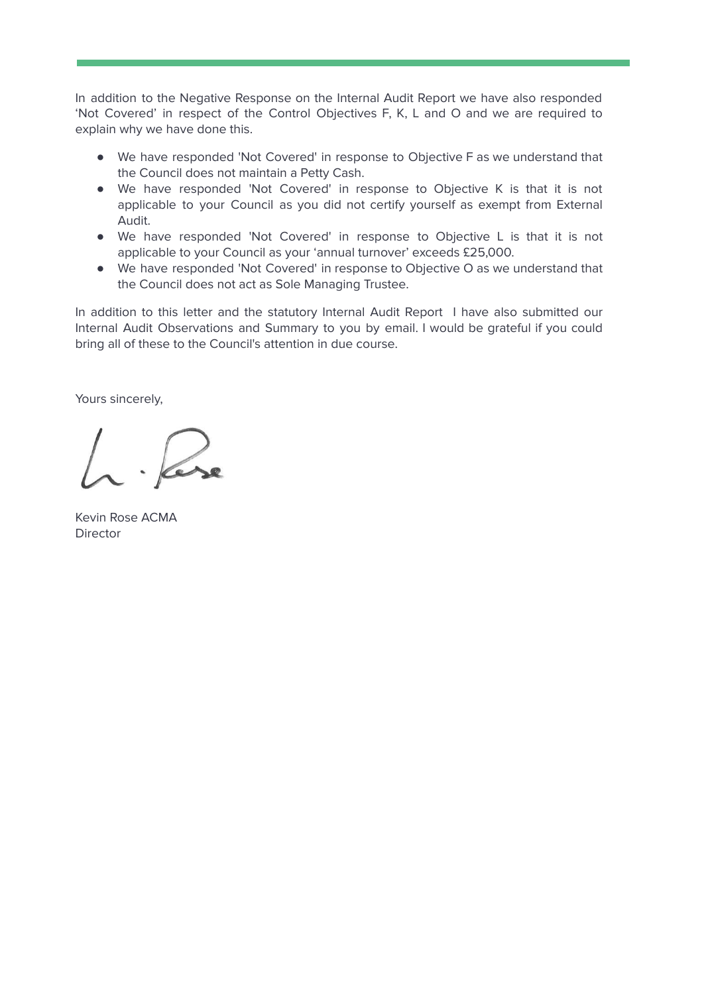In addition to the Negative Response on the Internal Audit Report we have also responded 'Not Covered' in respect of the Control Objectives F, K, L and O and we are required to explain why we have done this.

- We have responded 'Not Covered' in response to Objective F as we understand that the Council does not maintain a Petty Cash.
- We have responded 'Not Covered' in response to Objective K is that it is not applicable to your Council as you did not certify yourself as exempt from External Audit.
- We have responded 'Not Covered' in response to Objective L is that it is not applicable to your Council as your 'annual turnover' exceeds £25,000.
- We have responded 'Not Covered' in response to Objective O as we understand that the Council does not act as Sole Managing Trustee.

In addition to this letter and the statutory Internal Audit Report I have also submitted our Internal Audit Observations and Summary to you by email. I would be grateful if you could bring all of these to the Council's attention in due course.

Yours sincerely,

Kevin Rose ACMA **Director**